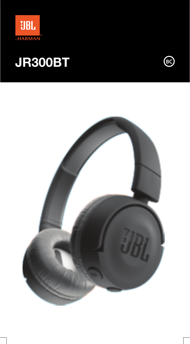



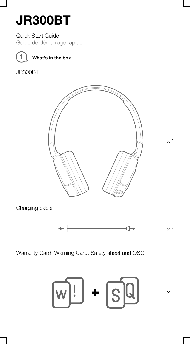Quick Start Guide

Guide de démarrage rapide



**1 What's in the box**

JR300BT



x 1

Charging cable



Warranty Card, Warning Card, Safety sheet and QSG

$$
\text{W}:\text{H} \rightarrow \text{H}
$$

x 1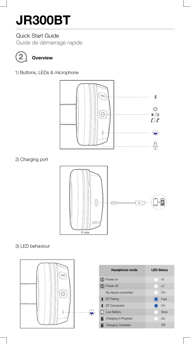### Quick Start Guide

Guide de démarrage rapide



## **2 Overview**

1) Buttons, LEDs & microphone



2) Charging port



3) LED behaviour

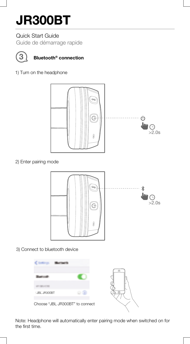### Quick Start Guide

Guide de démarrage rapide



## **Bluetooth® 3 connection**

1) Turn on the headphone



2) Enter pairing mode



3) Connect to bluetooth device



Note: Headphone will automatically enter pairing mode when switched on for the first time.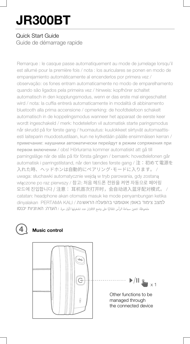### Quick Start Guide

Guide de démarrage rapide

Remarque : le casque passe automatiquement au mode de jumelage lorsqu'il est allumé pour la première fois / nota : los auriculares se ponen en modo de emparejamiento automáticamente al encenderlos por primera vez / observação: os fones entram automaticamente no modo de emparelhamento quando são ligados pela primeira vez / hinweis: kopfhörer schaltet automatisch in den kopplungsmodus, wenn er das erste mal eingeschaltet wird / nota: la cuffia entrerà automaticamente in modalità di abbinamento bluetooth alla prima accensione / opmerking: de hoofdtelefoon schakelt automatisch in de koppelingsmodus wanneer het apparaat de eerste keer wordt ingeschakeld / merk: hodetelefon vil automatisk starte paringsmodus når skrudd på for første gang / huomautus: kuulokkeet siirtyvät automaattisesti laiteparin muodostustilaan, kun ne kytketään päälle ensimmäisen kerran / примечание: наушники автоматически перейдут в режим сопряжения при первом включении / obs! Hörlurarna kommer automatiskt att gå till parningsläge när de slås på för första gången / bemærk: hovedtelefonen går automatisk i parringstilstand, når den tændes første gang / 注:初めて電源を 入れた時、ヘッドホンは自動的にペアリング・モードに入ります。 / uwaga: słuchawki automatycznie wejdą w tryb parowania, gdy zostaną włączone po raz pierwszy / 참고: 처음 헤드폰 전원을 켜면 자동으로 페어링 모드에 진입합니다 / 注意: 耳机首次打开时, 会自动进入蓝牙配对模式。 / catatan: headphone akan otomatis masuk ke mode penyambungan ketika dinyalakan PERTAMA KALI /ملحوظة: تتعن سماعة الرأس تلقائنًا على وضع الاقتران عند تشغيلها لأول مرة. / הערה: האןזניןת יכנסן

### **4 Music control**



 $\blacktriangleright$ /II  $\mathbf{g}_{\mathbf{u}_{\mathbf{u}}|_{\infty,1}}$ 

Other functions to be managed through the connected device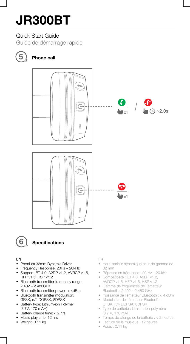### Quick Start Guide

Guide de démarrage rapide



## **5 Phone call**





## **6 Specications**

#### EN

- Premium 32mm Dynamic Driver
- Frequency Response: 20Hz 20kHz
- Support: BT 4.0, A2DP v1.2, AVRCP v1.5, HFP v1.5, HSP v1.2
- Bluetooth transmitter frequency range: 2.402 – 2.480GHz
- Bluetooth transmitter power: < 4dBm
- Bluetooth transmitter modulation: GFSK, π/4 DQPSK, 8DPSK
- Battery type: Lithium-ion Polymer (3.7V, 170 mAH)
- Battery charge time: < 2 hrs
- Music play time: 12 hrs
- Weight: 0.11 kg

#### FR

- Haut-parleur dynamique haut de gamme de 32 mm
- Réponse en fréquence : 20 Hz 20 kHz
- Compatibilité : BT 4.0, A2DP v1.2, AVRCP v1.5, HFP v1.5, HSP v1.2
- Gamme de fréquences de l'émetteur Bluetooth : 2,402 – 2,480 GHz
- Puissance de l'émetteur Bluetooth : < 4 dBm
- Modulation de l'émetteur Bluetooth : GFSK, π/4 DQPSK, 8DPSK
- Type de batterie : Lithium-ion-polymère (3,7 V, 170 mAH)
- Temps de charge de la batterie : < 2 heures
- Lecture de la musique : 12 heures
- Poids : 0,11 kg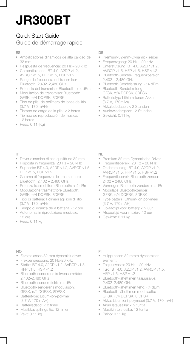## Quick Start Guide

### Guide de démarrage rapide

#### ES

- Amplificadores dinámicos de alta calidad de 32 mm
- Respuesta de frecuencia: 20 Hz 20 kHz
- Compatible con: BT 4.0, A2DP v1.2, AVRCP v1.5, HFP v1.5, HSP v1.2
- Rango de frecuencia del transmisor Bluetooth: 2,402–2,480 GHz
- Potencia del transmisor Bluetooth: < 4 dBm
- Modulación del transmisor Bluetooth: GFSK, π/4 DQPSK, 8DPSK
- Tipo de pila: de polímero de iones de litio (3,7 V, 170 mAH)
- Tiempo de carga de la pila: < 2 horas
- Tiempo de reproducción de música: 12 horas
- Peso: 0,11 (Kg)

### DE

- Premium-32-mm-Dynamic-Treiber
- Frequenzgang: 20 Hz 20 kHz
- Unterstützung: BT 4.0, A2DP v1.2, AVRCP v1.5, HFP v1.5, HSP v1.2
- Bluetooth-Sender-Frequenzbereich: 2,402 – 2,480 GHz
- Bluetooth-Sendeleistung: < 4 dBm
- Bluetooth-Sendeleistung: GFSK, π/4 DQPSK, 8DPSK
- Batterietyp: Lithium-Ionen-Akku (3,7 V, 170mAh)
- Akkuladedauer: < 2 Stunden
- Audiowiedergabe: 12 Stunden
- Gewicht: 0.11 kg

#### IT

- Driver dinamico di alta qualità da 32 mm
- Risposta in frequenza: 20 Hz 20 kHz
- Supporto: BT 4.0, A2DP v1.2, AVRCP v1.5, HFP v1.5, HSP v1.2
- Gamma di frequenza del trasmettitore Bluetooth: 2,402 – 2,480 GHz
- Potenza trasmettitore Bluetooth: < 4 dBm
- Modulazione trasmettitore Bluetooth: GFSK, π/4 DQPSK, 8DPSK
- Tipo di batteria: Polimeri agli ioni di litio (3,7 V, 170 mAH)
- Tempo di ricarica della batteria: < 2 ore
- Autonomia in riproduzione musicale: 12 ore
- Peso: 0.11 kg

#### NL

- Premium 32 mm Dynamische Driver
- Frequentiebereik: 20 Hz 20 kHz
- Ondersteuning: BT 4.0, A2DP v1.2, AVRCP v1.5, HFP v1.5, HSP v1.2
- Frequentiebereik Bluetooth-zender: 2402 – 2480 GHz
- Vermogen Bluetooth-zender: < 4 dBm
- Modulatie Bluetooth-zender: GFSK, π/4 DQPSK, 8DPSK
- Type batterij: Lithium-ion polymeer (3,7 V, 170 mAH)
- Oplaadtijd voor batterij: < 2 uur
- Afspeeltijd voor muziek: 12 uur
- Gewicht: 0.11 kg

#### $N<sub>O</sub>$

- Førsteklasses 32 mm dynamisk driver
- Frekvensrespons: 20 Hz–20 kHz
- Støtte: BT 4.0, A2DP v1.2, AVRCP v1.5, HFP v1.5, HSP v1.2
- Bluetooth-senderens frekvensområde: 2.402–2.480 GHz
- Bluetooth-sendereffekt: < 4 dBm
- Bluetooth-senderens modulasjon: GFSK, π/4 DQPSK, 8DPSK
- Batteritype: Litium-ion-polymer (3,7 V, 170 mAH)
- Batteriladetid: < 2 timer
- Musikkavspillings tid: 12 timer
- Vekt: 0.11 kg

#### FI

- Huipputason 32 mm:n dynaaminen elementti
- Taajuusvaste: 20 Hz 20 kHz
- Tuki: BT 4.0, A2DP v1.2, AVRCP v1.5, HFP v1.5, HSP v1.2
- Bluetooth-lähettimen taajuusalue: 2,402–2,480 GHz
- Bluetooth-lähettimen teho: <4 dBm
- Bluetooth-lähettimen modulaatio: GFSK, π/4 DQPSK, 8 DPSK
- Akku: Litiumioni-polymeeri (3,7 V, 170 mAh)
- Akun latausaika: < 2 tuntia
- Musiikin toistoaika: 12 tuntia
- Paino: 0.11 kg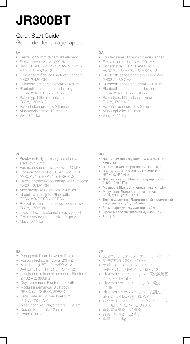## Quick Start Guide

### Guide de démarrage rapide

#### $\mathbb{C}$

- Premium 32 mm dynamiskt element
- Frekvenssvar: 20–20 000 Hz
- Stöd: BT 4.0, A2DP v1.2, AVRCP v1.5, HFP v1.5, HSP v1.2
- Frekvensområde för Bluetooth-sändare: 2 402–2 480 GHz
- Bluetooth-sändarens effekt: < 4 dBm
- Bluetooth-sändarens modulering: GFSK, π/4 DQPSK, 8DPSK
- Batterityp: Litiumjonpolymer (3,7 V, 170mAH)
- Batteriladdningstid: < 2 timmar
- Musikspelningstid: 12 timmar
- Vikt: 0.11 kg

#### $\Gamma$

- Førsteklasses 32 mm dynamisk enhed
- Frekvensområde: 20 Hz-20 kHz
- Understøtter: BT 4.0, A2DP v1.2 AVRCP v1.5, HFP v1.5, HSP v1.2
- Bluetooth-senderens frekvensområde: 2.402-2.480 GHz
- Bluetooth-senderens effekt: < 4 dBm
- Bluetooth-senderens modulation: GFSK, π/4 DQPSK, 8DPSK
- Batteritype: Litium-ion-polymer (3,7 V, 170mAH)
- Batteriopladningstid: < 2 timer
- Musik spilletid: 12 timer
- Vægt: 0.11 kg

#### PL

- Przetwornik dynamiczny premium o średnicy 32 mm
- Pasmo przenoszenia: 20 Hz 20 kHz
- Obsługiwane profile: BT 4.0, A2DP v1.2, AVRCP v1.5, HFP v1.5, HSP v1.2
- Zakres częstotliwości nadajnika Bluetooth: 2,402 – 2,480 GHz
- Moc nadajnika Bluetooth: < 4 dBm
- Modulacja nadajnika Bluetooth: GFSK, π/4 DQPSK, 8DPSK
- Rodzaj akumulatora: litowo-polimerowy (3,7 V, 170mAh)
- Czas ładowania akumulatora: < 2 godz.
- Czas odtwarzania muzyki: 12 godz.
- Masa: 0.11 kg

#### RU

- Динамический излучатель 32 мм высшего качества
- Частотная характеристика: 20 Гц 20 кГц
- Поддержка: BT 4.0, A2DP v1.2, AVRCP v1.5, HFP v1.5, HSP v1.2
- Диапазон частот Bluetooth-передатчика: 2,402 – 2,480 ГГц
- Мощность Bluetooth-передатчика: < 4 дБм
- Модуляция Bluetooth-передатчика: GFSK, π/4 DQPSK, 8DPSK
- Тип аккумулятора: Литий-ионный полимерный аккумулятор (3,7 В, 170 мАч)
- Время зарядки аккумулятора: < 2 ч
- В режиме прослушивания музыки: 12 ч
- Вес: 110 г

#### ID

- Penggerak Dinamis 32mm Premium
- Respon Frekuensi: 20Hz–20kHZ
- Mendukung: BT 4.0, A2DP v1.2, AVRCP v1.5, HFP v1.5, HSP v1.2
- Jangkauan frekuensi pemancar Bluetooth: 2,402 – 2,480GHz
- Daya pemancar Bluetooth: < 4dBm
- Modulasi pemancar Bluetooth: GFSK, π/4 DQPSK, 8DPSK
- Jenis baterai: Polimer Ion-litium (3,7 V, 170 mAH)
- Masa pengisian daya baterai: < 2 jam
- Durasi aktif musik: 12 jam
- Berat: 0.11 kg

#### **JP**

- 32mmプレミアムダイナミックドライバー
- 周波数応答:20Hz~20kHz
- サポート:BT 4.0、A2DP v1.2、 AVRCP v1.5、HFP v1.5、HSP v1.2
- Bluetoothトランスミッター周波数範囲: 2.402~2.480GHz
- Bluetoothのトランスミッター電力:  $<$  4dBm
- Bluetoothトランスミッター変調方式: GFSK、π/4 DQPSK、8DPSK
- バッテリータイプ: リチウムイオンポリ マー充電池(3.7V、170mAH)
- 電池充電時間:< 2時間
- 音楽再生時間:12時間
- 重量:0.11 kg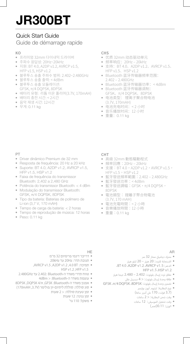### Quick Start Guide

### Guide de démarrage rapide

## **KO**

- 프리미엄 32mm 다이내믹 드라이버
- 주파수 응답성: 20Hz~20kHz
- 지원: BT 4.0, A2DP v1.2, AVRCP v1.5, HFP v1.5, HSP v1.2
- 블루투스 송출 주파수 범위: 2.402~2.480GHz<br>• 블루트 시스층 총련 4dBm
- 블루투스 송출 출력: < 4dBm
- 블루투스 송출 모듈레이션:
- GFSK, π/4 DQPSK, 8DPSK
- 배터리 유형: 리튬 이온 폴리머(3.7V, 170mAH)
- 배터리 충전 시간: < 2시간
- 음악 재생 시간: 12시간
- 무게: 0.11 kg

#### **CHS**

- 优质 32mm 动态驱动单元
- 频率响应:20Hz ‒ 20kHz
- 支持: BT 4.0、A2DP v1.2、AVRCP v1.5、 HFP v1.5、HSP v1.2
- Bluetooth 蓝牙传输器频率范围: 2.402 ‒ 2.480GHz
- Bluetooth 蓝牙传输器功率:< 4dBm
- Bluetooth 蓝牙传输器调制: GFSK、π/4 DQPSK、8DPSK
- 电池类型: 锂离子聚合物电池
- (3.7V, 170mAH) 电池充电时间:< 2 小时
- 音乐播放时间:12 小时
- 重量:0.11 kg

#### PT

- Driver dinâmico Premium de 32 mm
- Resposta de frequência: 20 Hz a 20 kHz
- Suporte: BT 4.0, A2DP v1.2, AVRCP v1.5, HFP v1.5, HSP v1.2
- Faixa de frequência do transmissor Bluetooth: 2,402 a 2,480 GHz
- Potência do transmissor Bluetooth: < 4 dBm
- Modulação do transmissor Bluetooth: GFSK, π/4 DQPSK, 8DPSK
- Tipo da bateria: Baterias de polímero de Li-ion (3,7 V, 170 mAH)
- Tempo de carga da bateria: < 2 horas
- Tempo de reprodução de música: 12 horas
- Peso: 0.11 kg

#### **CHT**

- 高級 32mm 動態驅動程式
- 頻率回應:20Hz 20kHz<br>• 古塔:BT 4.0,A2DR v1.2
- 支援: BT 4.0, A2DP v1.2, AVRCP v1.5,  $HFP$  v1.5, HSP v1.2
- 藍牙發送頻率範圍:2.402 ‒ 2.480GHz
- 藍牙發送功率:< 4dBm
- 藍牙發送調幅:GFSK,π/4 DQPSK, 8DPSK
- 電池類型: 鋰離子聚合物電池 (3.7V, 170 mAH)
- 電池充電時間:< 2 小時
- 音樂播放時間:12 小時
- 重量:0.11 kg

#### AR

- محرك دينامي ممتاز 32 مم
- استجابة لل دد: 20 هرتز 20 كيلو هرتز
- الدعم: AVRCP v1.5، ADP v1.2، HFP v1.5 . HSP v1.2
- نطاق تردد إرسال بلوتوث: 2.402 2.480 جيجا هرتز
	- طاقة وحدة إرسال بلوتوث: < 4 ديسيبل مل
- وحدة إرسال بلوتوث: تضم
	- نوع البطارية: ليثيوم آيون بوليم (3.7 فولت، 170 ملى أمبير ساعة)
		- وقت شحن البطارية: < 2 ساعات
	- وقت تشغيل الموسيقى: 12 ساعات
		- الوزن: 0.11(كجم)

#### HE

- דרייבר דינמי פרימיום 32 מ"מ
- תגובת תדר: Hz20 עד kHz20
- ,AVRCP v1.5 ,A2DP v1.2 ,4.0 BT :תמיכה• HSP v1.2 ,HFP v1.5
- טווח תדרי משדר ה-Bluetooth 2.402: עד GHz2.480
	- עוצמת משדר ה-Bluetooth: > dBm4
- 8DPSK ,DQPSK 4/π ,GFSK :Bluetooth-ה משדר אפנון•
- סוג סוללה: סוללת ליתיום-יון פולימר (V,3.7 mAH170( • זמן טעינת סוללה: < 2 שעות
	- זמן נגינה: 12 שעות
		- משקל: 110 גר'
			-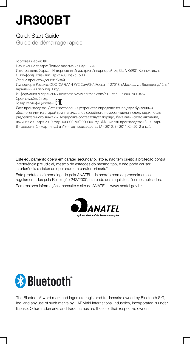### Quick Start Guide

Guide de démarrage rapide

Торговая марка: JBL Назначение товара: Пользовательские наушники Изготовитель: Харман Интернешнл Индастриз Инкорпорейтед, США, 06901 Коннектикут, г.Стэмфорд, Атлантик Стрит 400, офис 1500 Страна происхождения: Китай Импортер в Россию: OOO "ХАРМАН РУС СиАйЭс", Россия, 127018, г.Москва, ул. Двинцев, д.12, к 1 Гарантийный период: 1 год Информация о сервисных центрах: www.harman.com/ru тел. +7-800-700-0467 Срок службы: 2 года Товар сертифицирован Дата производства: Дата изготовления устройства определяется по двум буквенным

обозначениям из второй группы символов серийного номера изделия, следующих после разделительного знака «-». Кодировка соответствует порядку букв латинского алфавита, начиная с января 2010 года: 000000-MY0000000, где «M» - месяц производства (А - январь, B - февраль, C - март и т.д.) и «Y» - год производства (A - 2010, B - 2011, C - 2012 и т.д.).

Este equipamento opera em caráter secundário, isto é, não tem direito a proteção contra interferência prejudicial, mesmo de estações do mesmo tipo, e não pode causar interferência a sistemas operando em caráter primário"

Este produto está homologado pela ANATEL, de acordo com os procedimentos regulamentados pela Resolução 242/2000, e atende aos requisitos técnicos aplicados.

Para maiores informações, consulte o site da ANATEL - www.anatel.gov.br





The Bluetooth® word mark and logos are registered trademarks owned by Bluetooth SIG, Inc. and any use of such marks by HARMAN International Industries, Incorporated is under license. Other trademarks and trade names are those of their respective owners.